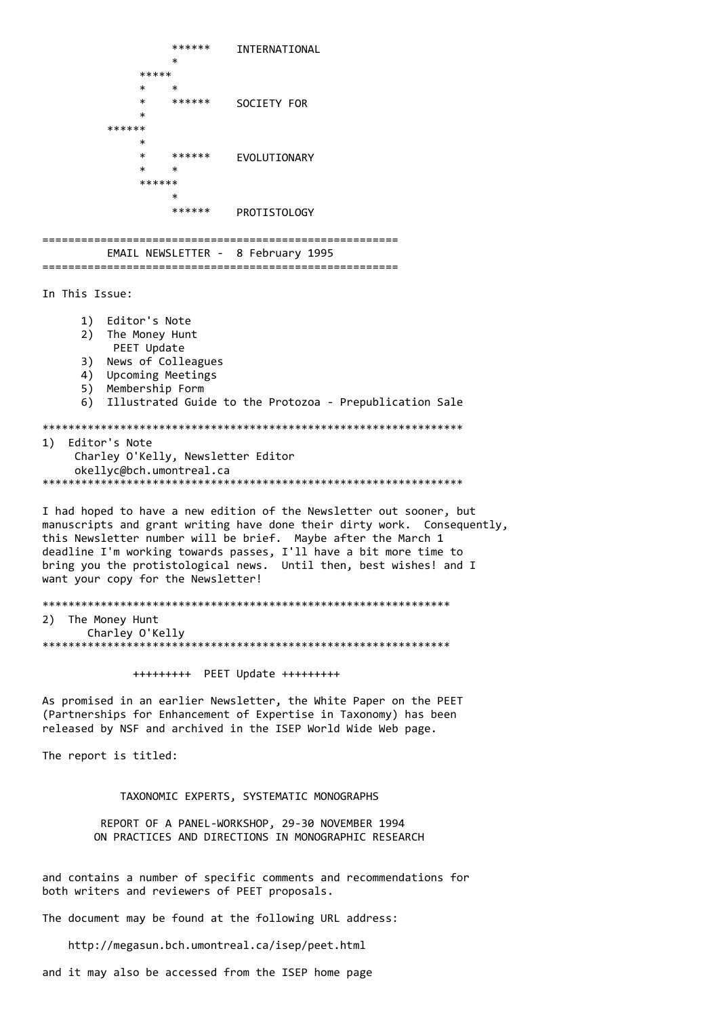\*\*\*\*\*\* INTERNATIONAL  $\star$  \*\*\*\*\*  $*$  \* \* \*\*\*\*\*\* SOCIETY FOR  $*$  \*\*\*\*\*\*  $*$  \* \*\*\*\*\*\* EVOLUTIONARY  $*$  \* \* \*\*\*\*\*\*  $\star$  \*\*\*\*\*\* PROTISTOLOGY ======================================================= EMAIL NEWSLETTER - 8 February 1995 ======================================================= In This Issue: 1) Editor's Note 2) The Money Hunt PEET Update 3) News of Colleagues 4) Upcoming Meetings 5) Membership Form 6) Illustrated Guide to the Protozoa - Prepublication Sale \*\*\*\*\*\*\*\*\*\*\*\*\*\*\*\*\*\*\*\*\*\*\*\*\*\*\*\*\*\*\*\*\*\*\*\*\*\*\*\*\*\*\*\*\*\*\*\*\*\*\*\*\*\*\*\*\*\*\*\*\*\*\*\*\* 1) Editor's Note Charley O'Kelly, Newsletter Editor okellyc@bch.umontreal.ca \*\*\*\*\*\*\*\*\*\*\*\*\*\*\*\*\*\*\*\*\*\*\*\*\*\*\*\*\*\*\*\*\*\*\*\*\*\*\*\*\*\*\*\*\*\*\*\*\*\*\*\*\*\*\*\*\*\*\*\*\*\*\*\*\* I had hoped to have a new edition of the Newsletter out sooner, but manuscripts and grant writing have done their dirty work. Consequently, this Newsletter number will be brief. Maybe after the March 1 deadline I'm working towards passes, I'll have a bit more time to bring you the protistological news. Until then, best wishes! and I want your copy for the Newsletter! \*\*\*\*\*\*\*\*\*\*\*\*\*\*\*\*\*\*\*\*\*\*\*\*\*\*\*\*\*\*\*\*\*\*\*\*\*\*\*\*\*\*\*\*\*\*\*\*\*\*\*\*\*\*\*\*\*\*\*\*\*\*\* 2) The Money Hunt Charley O'Kelly \*\*\*\*\*\*\*\*\*\*\*\*\*\*\*\*\*\*\*\*\*\*\*\*\*\*\*\*\*\*\*\*\*\*\*\*\*\*\*\*\*\*\*\*\*\*\*\*\*\*\*\*\*\*\*\*\*\*\*\*\*\*\* +++++++++ PEET Update +++++++++ As promised in an earlier Newsletter, the White Paper on the PEET (Partnerships for Enhancement of Expertise in Taxonomy) has been released by NSF and archived in the ISEP World Wide Web page. The report is titled: TAXONOMIC EXPERTS, SYSTEMATIC MONOGRAPHS REPORT OF A PANEL-WORKSHOP, 29-30 NOVEMBER 1994 ON PRACTICES AND DIRECTIONS IN MONOGRAPHIC RESEARCH

and contains a number of specific comments and recommendations for both writers and reviewers of PEET proposals.

The document may be found at the following URL address:

http://megasun.bch.umontreal.ca/isep/peet.html

and it may also be accessed from the ISEP home page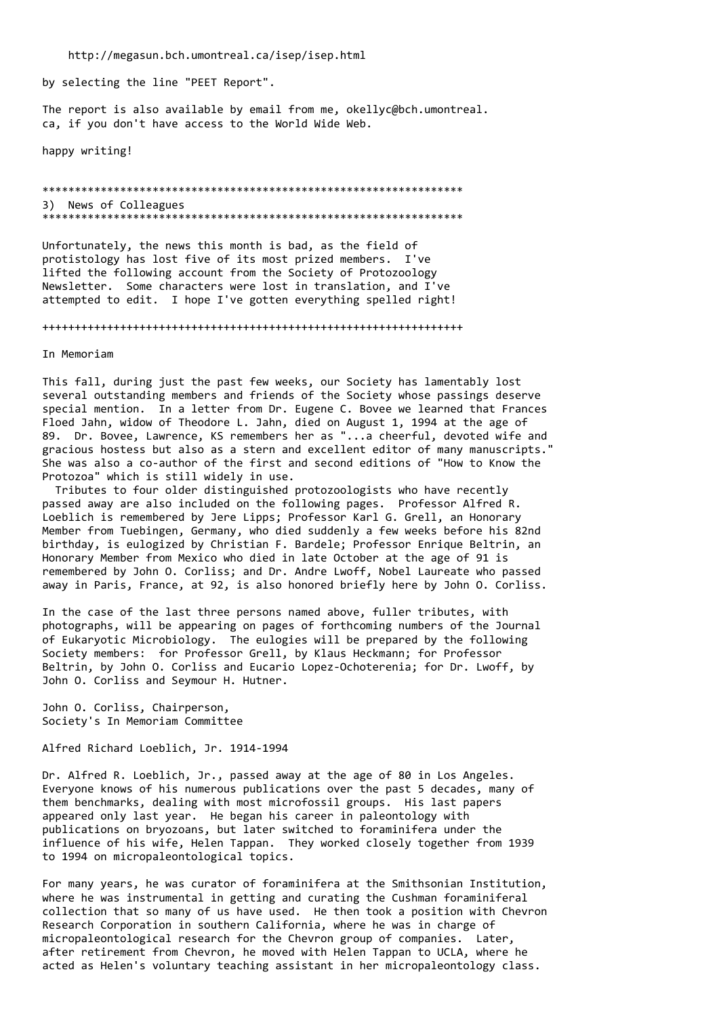http://megasun.bch.umontreal.ca/isep/isep.html

by selecting the line "PEET Report".

The report is also available by email from me, okellyc@bch.umontreal. ca, if you don't have access to the World Wide Web.

happy writing!

\*\*\*\*\*\*\*\*\*\*\*\*\*\*\*\*\*\*\*\*\*\*\*\*\*\*\*\*\*\*\*\*\*\*\*\*\*\*\*\*\*\*\*\*\*\*\*\*\*\*\*\*\*\*\*\*\*\*\*\*\*\*\*\*\* 3) News of Colleagues \*\*\*\*\*\*\*\*\*\*\*\*\*\*\*\*\*\*\*\*\*\*\*\*\*\*\*\*\*\*\*\*\*\*\*\*\*\*\*\*\*\*\*\*\*\*\*\*\*\*\*\*\*\*\*\*\*\*\*\*\*\*\*\*\*

Unfortunately, the news this month is bad, as the field of protistology has lost five of its most prized members. I've lifted the following account from the Society of Protozoology Newsletter. Some characters were lost in translation, and I've attempted to edit. I hope I've gotten everything spelled right!

+++++++++++++++++++++++++++++++++++++++++++++++++++++++++++++++++

In Memoriam

This fall, during just the past few weeks, our Society has lamentably lost several outstanding members and friends of the Society whose passings deserve special mention. In a letter from Dr. Eugene C. Bovee we learned that Frances Floed Jahn, widow of Theodore L. Jahn, died on August 1, 1994 at the age of 89. Dr. Bovee, Lawrence, KS remembers her as "...a cheerful, devoted wife and gracious hostess but also as a stern and excellent editor of many manuscripts." She was also a co-author of the first and second editions of "How to Know the Protozoa" which is still widely in use.

 Tributes to four older distinguished protozoologists who have recently passed away are also included on the following pages. Professor Alfred R. Loeblich is remembered by Jere Lipps; Professor Karl G. Grell, an Honorary Member from Tuebingen, Germany, who died suddenly a few weeks before his 82nd birthday, is eulogized by Christian F. Bardele; Professor Enrique Beltrin, an Honorary Member from Mexico who died in late October at the age of 91 is remembered by John O. Corliss; and Dr. Andre Lwoff, Nobel Laureate who passed away in Paris, France, at 92, is also honored briefly here by John O. Corliss.

In the case of the last three persons named above, fuller tributes, with photographs, will be appearing on pages of forthcoming numbers of the Journal of Eukaryotic Microbiology. The eulogies will be prepared by the following Society members: for Professor Grell, by Klaus Heckmann; for Professor Beltrin, by John O. Corliss and Eucario Lopez-Ochoterenia; for Dr. Lwoff, by John O. Corliss and Seymour H. Hutner.

John O. Corliss, Chairperson, Society's In Memoriam Committee

Alfred Richard Loeblich, Jr. 1914-1994

Dr. Alfred R. Loeblich, Jr., passed away at the age of 80 in Los Angeles. Everyone knows of his numerous publications over the past 5 decades, many of them benchmarks, dealing with most microfossil groups. His last papers appeared only last year. He began his career in paleontology with publications on bryozoans, but later switched to foraminifera under the influence of his wife, Helen Tappan. They worked closely together from 1939 to 1994 on micropaleontological topics.

For many years, he was curator of foraminifera at the Smithsonian Institution, where he was instrumental in getting and curating the Cushman foraminiferal collection that so many of us have used. He then took a position with Chevron Research Corporation in southern California, where he was in charge of micropaleontological research for the Chevron group of companies. Later, after retirement from Chevron, he moved with Helen Tappan to UCLA, where he acted as Helen's voluntary teaching assistant in her micropaleontology class.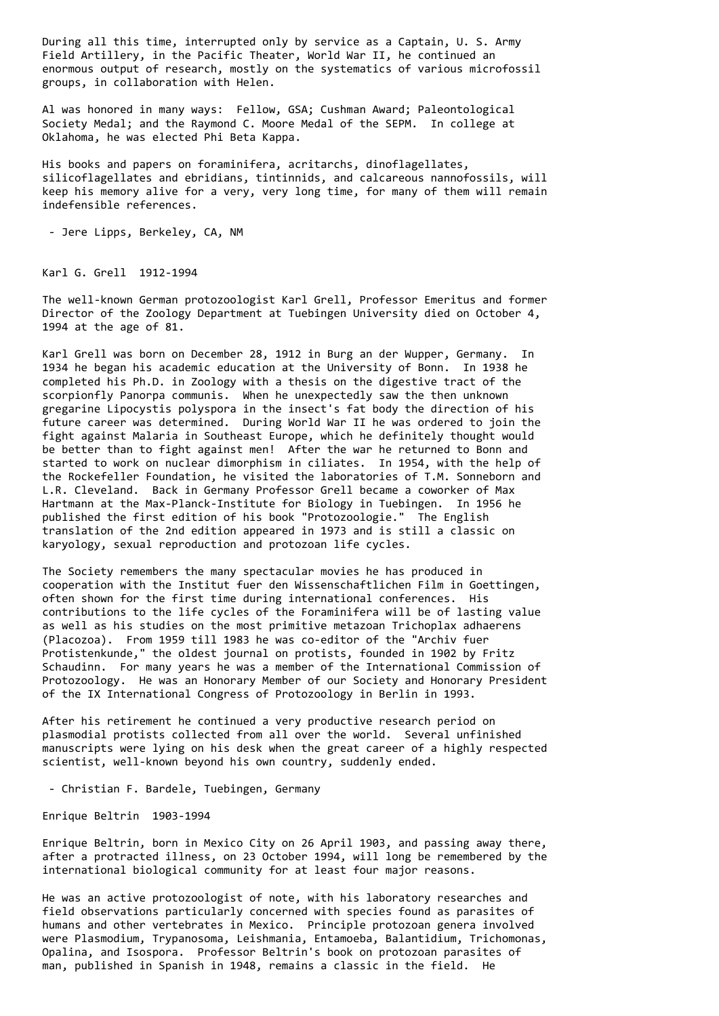During all this time, interrupted only by service as a Captain, U. S. Army Field Artillery, in the Pacific Theater, World War II, he continued an enormous output of research, mostly on the systematics of various microfossil groups, in collaboration with Helen.

Al was honored in many ways: Fellow, GSA; Cushman Award; Paleontological Society Medal; and the Raymond C. Moore Medal of the SEPM. In college at Oklahoma, he was elected Phi Beta Kappa.

His books and papers on foraminifera, acritarchs, dinoflagellates, silicoflagellates and ebridians, tintinnids, and calcareous nannofossils, will keep his memory alive for a very, very long time, for many of them will remain indefensible references.

- Jere Lipps, Berkeley, CA, NM

Karl G. Grell 1912-1994

The well-known German protozoologist Karl Grell, Professor Emeritus and former Director of the Zoology Department at Tuebingen University died on October 4, 1994 at the age of 81.

Karl Grell was born on December 28, 1912 in Burg an der Wupper, Germany. In 1934 he began his academic education at the University of Bonn. In 1938 he completed his Ph.D. in Zoology with a thesis on the digestive tract of the scorpionfly Panorpa communis. When he unexpectedly saw the then unknown gregarine Lipocystis polyspora in the insect's fat body the direction of his future career was determined. During World War II he was ordered to join the fight against Malaria in Southeast Europe, which he definitely thought would be better than to fight against men! After the war he returned to Bonn and started to work on nuclear dimorphism in ciliates. In 1954, with the help of the Rockefeller Foundation, he visited the laboratories of T.M. Sonneborn and L.R. Cleveland. Back in Germany Professor Grell became a coworker of Max Hartmann at the Max-Planck-Institute for Biology in Tuebingen. In 1956 he published the first edition of his book "Protozoologie." The English translation of the 2nd edition appeared in 1973 and is still a classic on karyology, sexual reproduction and protozoan life cycles.

The Society remembers the many spectacular movies he has produced in cooperation with the Institut fuer den Wissenschaftlichen Film in Goettingen, often shown for the first time during international conferences. His contributions to the life cycles of the Foraminifera will be of lasting value as well as his studies on the most primitive metazoan Trichoplax adhaerens (Placozoa). From 1959 till 1983 he was co-editor of the "Archiv fuer Protistenkunde," the oldest journal on protists, founded in 1902 by Fritz Schaudinn. For many years he was a member of the International Commission of Protozoology. He was an Honorary Member of our Society and Honorary President of the IX International Congress of Protozoology in Berlin in 1993.

After his retirement he continued a very productive research period on plasmodial protists collected from all over the world. Several unfinished manuscripts were lying on his desk when the great career of a highly respected scientist, well-known beyond his own country, suddenly ended.

- Christian F. Bardele, Tuebingen, Germany

Enrique Beltrin 1903-1994

Enrique Beltrin, born in Mexico City on 26 April 1903, and passing away there, after a protracted illness, on 23 October 1994, will long be remembered by the international biological community for at least four major reasons.

He was an active protozoologist of note, with his laboratory researches and field observations particularly concerned with species found as parasites of humans and other vertebrates in Mexico. Principle protozoan genera involved were Plasmodium, Trypanosoma, Leishmania, Entamoeba, Balantidium, Trichomonas, Opalina, and Isospora. Professor Beltrin's book on protozoan parasites of man, published in Spanish in 1948, remains a classic in the field. He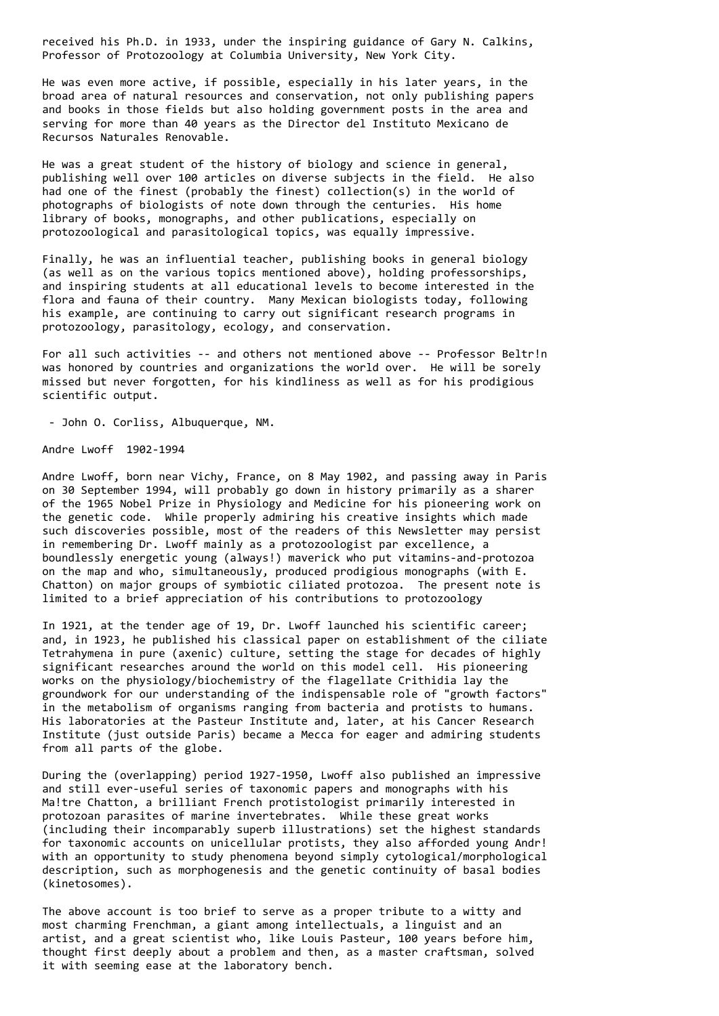received his Ph.D. in 1933, under the inspiring guidance of Gary N. Calkins, Professor of Protozoology at Columbia University, New York City.

He was even more active, if possible, especially in his later years, in the broad area of natural resources and conservation, not only publishing papers and books in those fields but also holding government posts in the area and serving for more than 40 years as the Director del Instituto Mexicano de Recursos Naturales Renovable.

He was a great student of the history of biology and science in general, publishing well over 100 articles on diverse subjects in the field. He also had one of the finest (probably the finest) collection(s) in the world of photographs of biologists of note down through the centuries. His home library of books, monographs, and other publications, especially on protozoological and parasitological topics, was equally impressive.

Finally, he was an influential teacher, publishing books in general biology (as well as on the various topics mentioned above), holding professorships, and inspiring students at all educational levels to become interested in the flora and fauna of their country. Many Mexican biologists today, following his example, are continuing to carry out significant research programs in protozoology, parasitology, ecology, and conservation.

For all such activities -- and others not mentioned above -- Professor Beltr!n was honored by countries and organizations the world over. He will be sorely missed but never forgotten, for his kindliness as well as for his prodigious scientific output.

- John O. Corliss, Albuquerque, NM.

Andre Lwoff 1902-1994

Andre Lwoff, born near Vichy, France, on 8 May 1902, and passing away in Paris on 30 September 1994, will probably go down in history primarily as a sharer of the 1965 Nobel Prize in Physiology and Medicine for his pioneering work on the genetic code. While properly admiring his creative insights which made such discoveries possible, most of the readers of this Newsletter may persist in remembering Dr. Lwoff mainly as a protozoologist par excellence, a boundlessly energetic young (always!) maverick who put vitamins-and-protozoa on the map and who, simultaneously, produced prodigious monographs (with E. Chatton) on major groups of symbiotic ciliated protozoa. The present note is limited to a brief appreciation of his contributions to protozoology

In 1921, at the tender age of 19, Dr. Lwoff launched his scientific career; and, in 1923, he published his classical paper on establishment of the ciliate Tetrahymena in pure (axenic) culture, setting the stage for decades of highly significant researches around the world on this model cell. His pioneering works on the physiology/biochemistry of the flagellate Crithidia lay the groundwork for our understanding of the indispensable role of "growth factors" in the metabolism of organisms ranging from bacteria and protists to humans. His laboratories at the Pasteur Institute and, later, at his Cancer Research Institute (just outside Paris) became a Mecca for eager and admiring students from all parts of the globe.

During the (overlapping) period 1927-1950, Lwoff also published an impressive and still ever-useful series of taxonomic papers and monographs with his Ma!tre Chatton, a brilliant French protistologist primarily interested in protozoan parasites of marine invertebrates. While these great works (including their incomparably superb illustrations) set the highest standards for taxonomic accounts on unicellular protists, they also afforded young Andr! with an opportunity to study phenomena beyond simply cytological/morphological description, such as morphogenesis and the genetic continuity of basal bodies (kinetosomes).

The above account is too brief to serve as a proper tribute to a witty and most charming Frenchman, a giant among intellectuals, a linguist and an artist, and a great scientist who, like Louis Pasteur, 100 years before him, thought first deeply about a problem and then, as a master craftsman, solved it with seeming ease at the laboratory bench.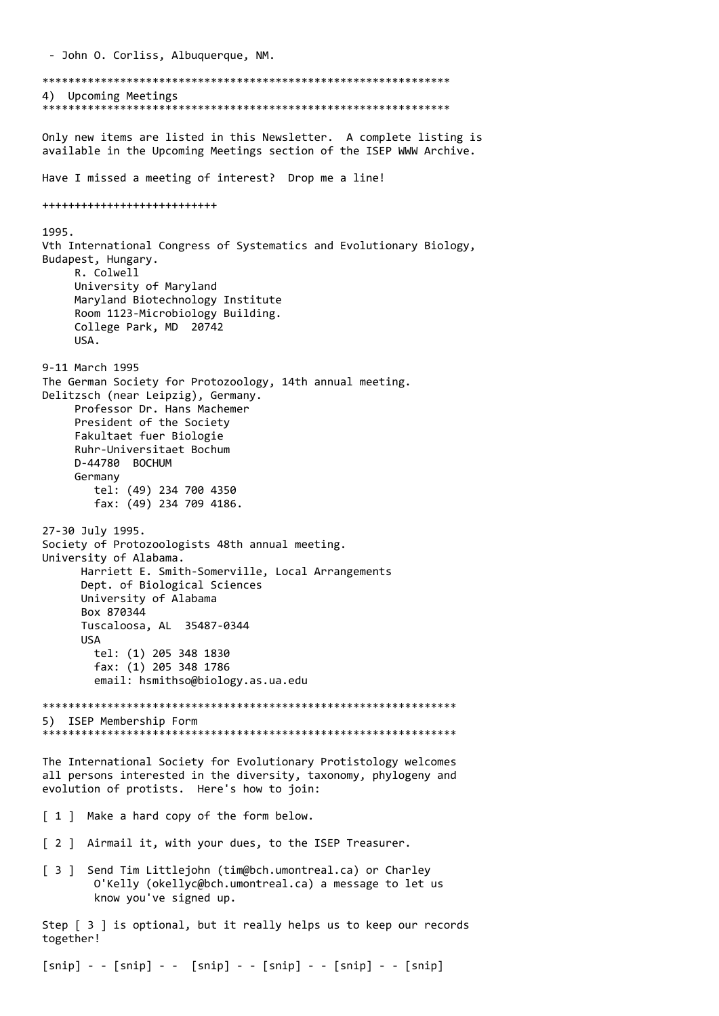- John O. Corliss, Albuquerque, NM. \*\*\*\*\*\*\*\*\*\*\*\*\*\*\*\*\*\*\*\*\*\*\*\*\*\*\*\*\*\*\*\*\*\*\*\*\*\*\*\*\*\*\*\*\*\*\*\*\*\*\*\*\*\*\*\*\*\*\*\*\*\*\* 4) Upcoming Meetings \*\*\*\*\*\*\*\*\*\*\*\*\*\*\*\*\*\*\*\*\*\*\*\*\*\*\*\*\*\*\*\*\*\*\*\*\*\*\*\*\*\*\*\*\*\*\*\*\*\*\*\*\*\*\*\*\*\*\*\*\*\*\* Only new items are listed in this Newsletter. A complete listing is available in the Upcoming Meetings section of the ISEP WWW Archive. Have I missed a meeting of interest? Drop me a line! +++++++++++++++++++++++++++ 1995. Vth International Congress of Systematics and Evolutionary Biology, Budapest, Hungary. R. Colwell University of Maryland Maryland Biotechnology Institute Room 1123-Microbiology Building. College Park, MD 20742 USA. 9-11 March 1995 The German Society for Protozoology, 14th annual meeting. Delitzsch (near Leipzig), Germany. Professor Dr. Hans Machemer President of the Society Fakultaet fuer Biologie Ruhr-Universitaet Bochum D-44780 BOCHUM Germany tel: (49) 234 700 4350 fax: (49) 234 709 4186. 27-30 July 1995. Society of Protozoologists 48th annual meeting. University of Alabama. Harriett E. Smith-Somerville, Local Arrangements Dept. of Biological Sciences University of Alabama Box 870344 Tuscaloosa, AL 35487-0344 USA tel: (1) 205 348 1830 fax: (1) 205 348 1786 email: hsmithso@biology.as.ua.edu \*\*\*\*\*\*\*\*\*\*\*\*\*\*\*\*\*\*\*\*\*\*\*\*\*\*\*\*\*\*\*\*\*\*\*\*\*\*\*\*\*\*\*\*\*\*\*\*\*\*\*\*\*\*\*\*\*\*\*\*\*\*\*\* 5) ISEP Membership Form \*\*\*\*\*\*\*\*\*\*\*\*\*\*\*\*\*\*\*\*\*\*\*\*\*\*\*\*\*\*\*\*\*\*\*\*\*\*\*\*\*\*\*\*\*\*\*\*\*\*\*\*\*\*\*\*\*\*\*\*\*\*\*\* The International Society for Evolutionary Protistology welcomes all persons interested in the diversity, taxonomy, phylogeny and evolution of protists. Here's how to join: [ 1 ] Make a hard copy of the form below. [ 2 ] Airmail it, with your dues, to the ISEP Treasurer. [ 3 ] Send Tim Littlejohn (tim@bch.umontreal.ca) or Charley O'Kelly (okellyc@bch.umontreal.ca) a message to let us know you've signed up. Step [ 3 ] is optional, but it really helps us to keep our records together!

 $[snip] - - [snip] - - [snip] - - [snip] - - [snip] - - [snip]$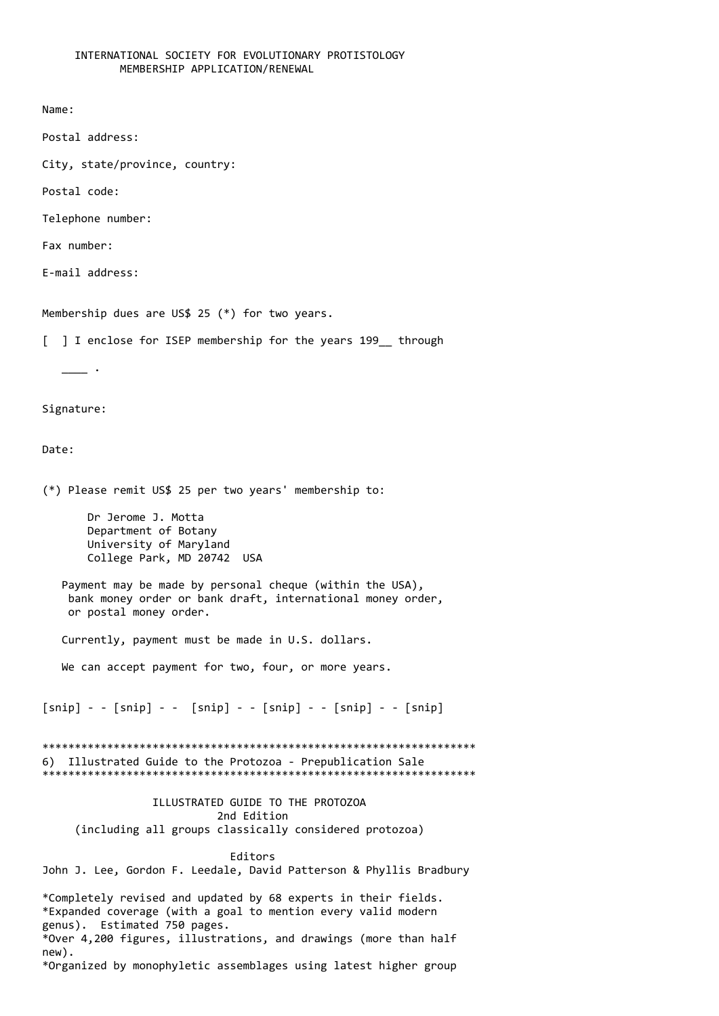## INTERNATIONAL SOCIETY FOR EVOLUTIONARY PROTISTOLOGY MEMBERSHIP APPLICATION/RENEWAL

```
Name:
```
Postal address:

City, state/province, country:

Postal code:

Telephone number:

Fax number:

E-mail address:

Membership dues are US\$ 25 (\*) for two years.

[ ] I enclose for ISEP membership for the years 199 through

 $\overline{\phantom{a}}$ .

## Signature:

## Date:

(\*) Please remit US\$ 25 per two years' membership to:

 Dr Jerome J. Motta Department of Botany University of Maryland College Park, MD 20742 USA

 Payment may be made by personal cheque (within the USA), bank money order or bank draft, international money order, or postal money order.

Currently, payment must be made in U.S. dollars.

We can accept payment for two, four, or more years.

 $[snip] - - [snip] - - [snip] - - [snip] - - [snip] - - [snip]$ 

\*\*\*\*\*\*\*\*\*\*\*\*\*\*\*\*\*\*\*\*\*\*\*\*\*\*\*\*\*\*\*\*\*\*\*\*\*\*\*\*\*\*\*\*\*\*\*\*\*\*\*\*\*\*\*\*\*\*\*\*\*\*\*\*\*\*\* 6) Illustrated Guide to the Protozoa - Prepublication Sale \*\*\*\*\*\*\*\*\*\*\*\*\*\*\*\*\*\*\*\*\*\*\*\*\*\*\*\*\*\*\*\*\*\*\*\*\*\*\*\*\*\*\*\*\*\*\*\*\*\*\*\*\*\*\*\*\*\*\*\*\*\*\*\*\*\*\*

 ILLUSTRATED GUIDE TO THE PROTOZOA 2nd Edition (including all groups classically considered protozoa)

 Editors John J. Lee, Gordon F. Leedale, David Patterson & Phyllis Bradbury

\*Completely revised and updated by 68 experts in their fields. \*Expanded coverage (with a goal to mention every valid modern genus). Estimated 750 pages. \*Over 4,200 figures, illustrations, and drawings (more than half new). \*Organized by monophyletic assemblages using latest higher group